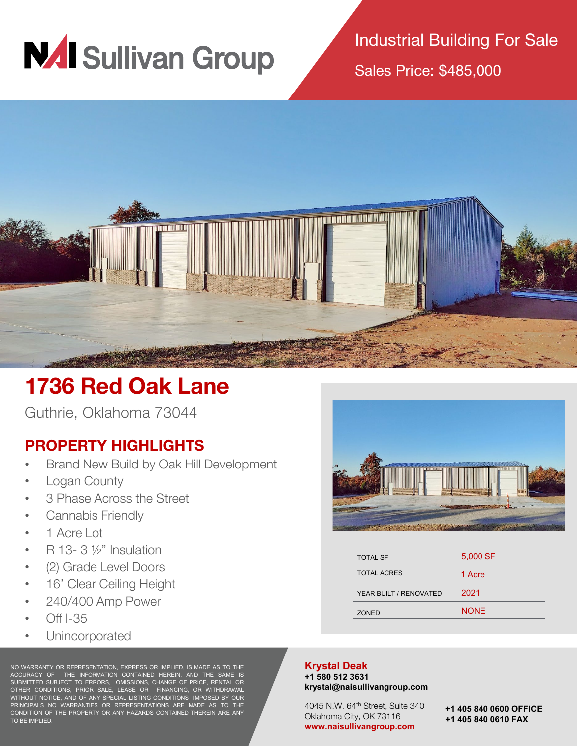

Industrial Building For Sale

Sales Price: \$485,000



## **1736 Red Oak Lane**

Guthrie, Oklahoma 73044

## **PROPERTY HIGHLIGHTS**

- Brand New Build by Oak Hill Development
- Logan County
- 3 Phase Across the Street
- Cannabis Friendly
- 1 Acre Lot
- $R$  13- 3  $\frac{1}{2}$ " Insulation
- (2) Grade Level Doors
- 16' Clear Ceiling Height
- 240/400 Amp Power
- Off I-35
- Unincorporated

NO WARRANTY OR REPRESENTATION, EXPRESS OR IMPLIED, IS MADE AS TO THE ACCURACY OF THE INFORMATION CONTAINED HEREIN, AND THE SAME IS SUBMITTED SUBJECT TO ERRORS, OMISSIONS, CHANGE OF PRICE, RENTAL OR OTHER CONDITIONS, PRIOR SALE, LEASE OR FINANCING, OR WITHDRAWAL WITHOUT NOTICE, AND OF ANY SPECIAL LISTING CONDITIONS IMPOSED BY OUR PRINCIPALS NO WARRANTIES OR REPRESENTATIONS ARE MADE AS TO THE CONDITION OF THE PROPERTY OR ANY HAZARDS CONTAINED THEREIN ARE ANY TO BE IMPLIED.



| <b>TOTAL SF</b>        | 5,000 SF    |
|------------------------|-------------|
| <b>TOTAL ACRES</b>     | 1 Acre      |
| YEAR BUILT / RENOVATED | 2021        |
| <b>ZONED</b>           | <b>NONF</b> |
|                        |             |

## **Krystal Deak**

**+1 580 512 3631 krystal@naisullivangroup.com**

4045 N.W. 64th Street, Suite 340 Oklahoma City, OK 73116 **www.naisullivangroup.com**

**+1 405 840 0600 OFFICE +1 405 840 0610 FAX**